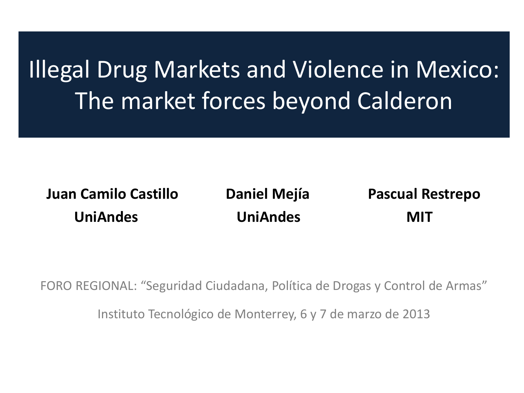# Illegal Drug Markets and Violence in Mexico: The market forces beyond Calderon

 **Juan Camilo Castillo Daniel Mejía Pascual Restrepo UniAndes UniAndes MIT**

FORO REGIONAL: "Seguridad Ciudadana, Política de Drogas y Control de Armas"

Instituto Tecnológico de Monterrey, 6 y 7 de marzo de 2013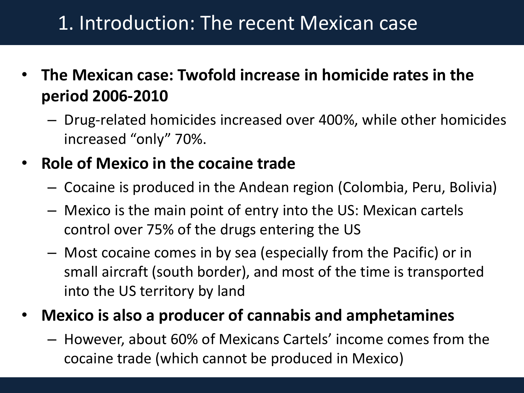### 1. Introduction: The recent Mexican case

- **The Mexican case: Twofold increase in homicide rates in the period 2006-2010**
	- Drug-related homicides increased over 400%, while other homicides increased "only" 70%.
- **Role of Mexico in the cocaine trade**
	- Cocaine is produced in the Andean region (Colombia, Peru, Bolivia)
	- Mexico is the main point of entry into the US: Mexican cartels control over 75% of the drugs entering the US
	- Most cocaine comes in by sea (especially from the Pacific) or in small aircraft (south border), and most of the time is transported into the US territory by land
- **Mexico is also a producer of cannabis and amphetamines**
	- However, about 60% of Mexicans Cartels' income comes from the cocaine trade (which cannot be produced in Mexico)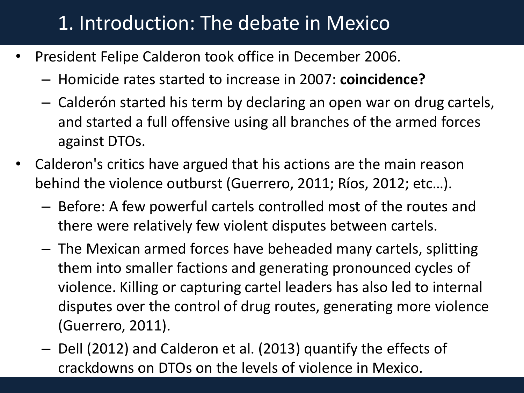### 1. Introduction: The debate in Mexico

- President Felipe Calderon took office in December 2006.
	- Homicide rates started to increase in 2007: **coincidence?**
	- Calderón started his term by declaring an open war on drug cartels, and started a full offensive using all branches of the armed forces against DTOs.
- Calderon's critics have argued that his actions are the main reason behind the violence outburst (Guerrero, 2011; Ríos, 2012; etc…).
	- Before: A few powerful cartels controlled most of the routes and there were relatively few violent disputes between cartels.
	- The Mexican armed forces have beheaded many cartels, splitting them into smaller factions and generating pronounced cycles of violence. Killing or capturing cartel leaders has also led to internal disputes over the control of drug routes, generating more violence (Guerrero, 2011).
	- Dell (2012) and Calderon et al. (2013) quantify the effects of crackdowns on DTOs on the levels of violence in Mexico.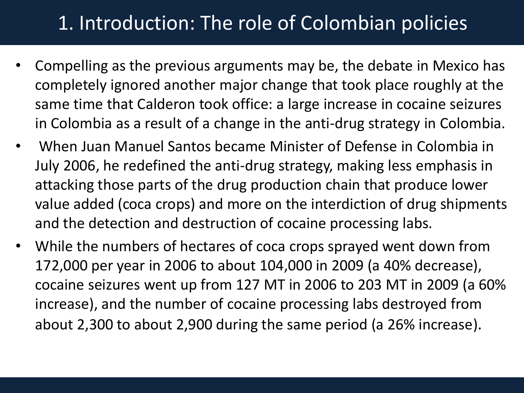### 1. Introduction: The role of Colombian policies

- Compelling as the previous arguments may be, the debate in Mexico has completely ignored another major change that took place roughly at the same time that Calderon took office: a large increase in cocaine seizures in Colombia as a result of a change in the anti-drug strategy in Colombia.
- When Juan Manuel Santos became Minister of Defense in Colombia in July 2006, he redefined the anti-drug strategy, making less emphasis in attacking those parts of the drug production chain that produce lower value added (coca crops) and more on the interdiction of drug shipments and the detection and destruction of cocaine processing labs.
- While the numbers of hectares of coca crops sprayed went down from 172,000 per year in 2006 to about 104,000 in 2009 (a 40% decrease), cocaine seizures went up from 127 MT in 2006 to 203 MT in 2009 (a 60% increase), and the number of cocaine processing labs destroyed from about 2,300 to about 2,900 during the same period (a 26% increase).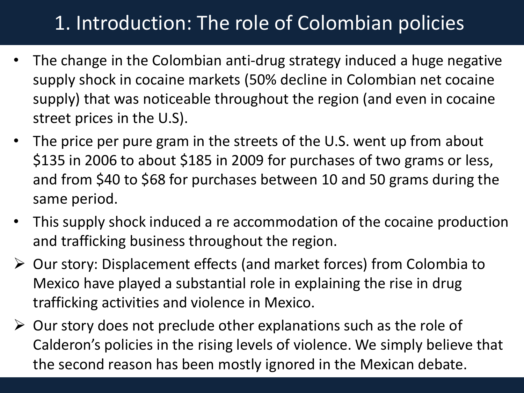## 1. Introduction: The role of Colombian policies

- The change in the Colombian anti-drug strategy induced a huge negative supply shock in cocaine markets (50% decline in Colombian net cocaine supply) that was noticeable throughout the region (and even in cocaine street prices in the U.S).
- The price per pure gram in the streets of the U.S. went up from about \$135 in 2006 to about \$185 in 2009 for purchases of two grams or less, and from \$40 to \$68 for purchases between 10 and 50 grams during the same period.
- This supply shock induced a re accommodation of the cocaine production and trafficking business throughout the region.
- Our story: Displacement effects (and market forces) from Colombia to Mexico have played a substantial role in explaining the rise in drug trafficking activities and violence in Mexico.
- $\triangleright$  Our story does not preclude other explanations such as the role of Calderon's policies in the rising levels of violence. We simply believe that the second reason has been mostly ignored in the Mexican debate.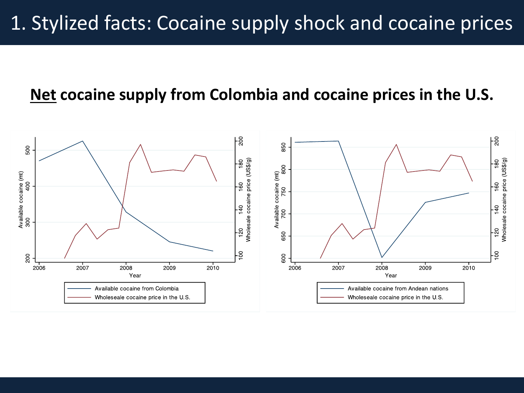### 1. Stylized facts: Cocaine supply shock and cocaine prices

### **Net cocaine supply from Colombia and cocaine prices in the U.S.**

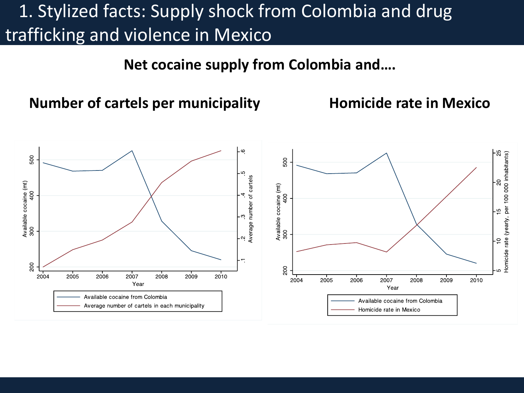### 1. Stylized facts: Supply shock from Colombia and drug trafficking and violence in Mexico

**Net cocaine supply from Colombia and….**

**Number of cartels per municipality Homicide rate in Mexico**

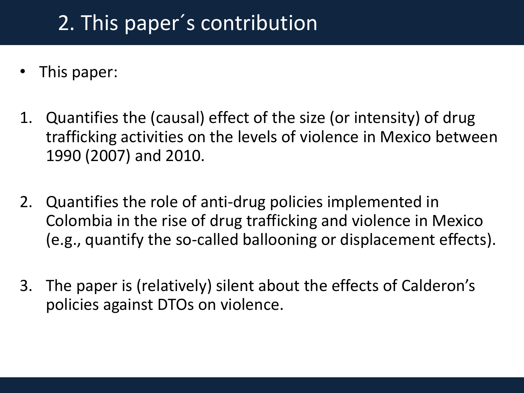## 2. This paper´s contribution

- This paper:
- 1. Quantifies the (causal) effect of the size (or intensity) of drug trafficking activities on the levels of violence in Mexico between 1990 (2007) and 2010.
- 2. Quantifies the role of anti-drug policies implemented in Colombia in the rise of drug trafficking and violence in Mexico (e.g., quantify the so-called ballooning or displacement effects).
- 3. The paper is (relatively) silent about the effects of Calderon's policies against DTOs on violence.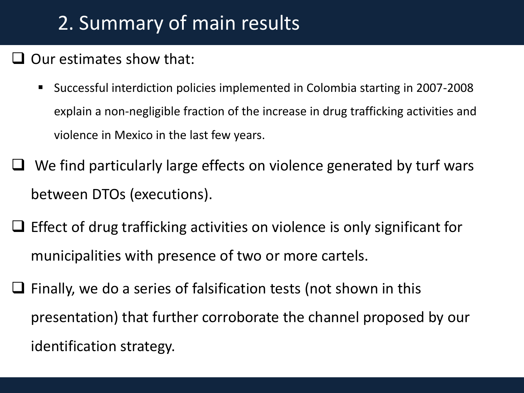### 2. Summary of main results

### $\Box$  Our estimates show that:

- Successful interdiction policies implemented in Colombia starting in 2007-2008 explain a non-negligible fraction of the increase in drug trafficking activities and violence in Mexico in the last few years.
- $\Box$  We find particularly large effects on violence generated by turf wars between DTOs (executions).
- $\Box$  Effect of drug trafficking activities on violence is only significant for municipalities with presence of two or more cartels.
- $\Box$  Finally, we do a series of falsification tests (not shown in this presentation) that further corroborate the channel proposed by our identification strategy.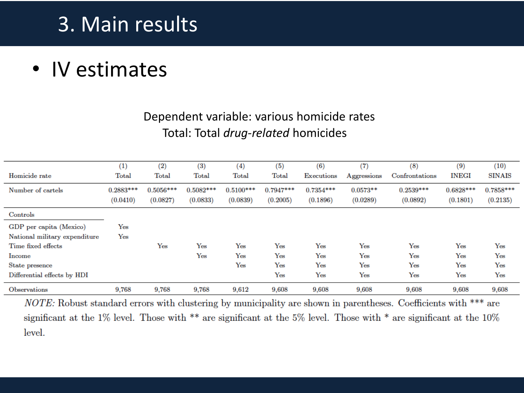### 3. Main results

### • IV estimates

#### Dependent variable: various homicide rates Total: Total *drug-related* homicides

|                               | $_{(1)}$    | (2)            | (3)         | $\left(4\right)$ | (5)          | (6)         | (7)         | (8)            | (9)                  | (10)          |
|-------------------------------|-------------|----------------|-------------|------------------|--------------|-------------|-------------|----------------|----------------------|---------------|
| Homicide rate                 | Total       | $_{\rm Total}$ | Total       | Total            | Total        | Executions  | Aggressions | Confrontations | <b>INEGI</b>         | <b>SINAIS</b> |
| Number of cartels             | $0.2883***$ | $0.5056***$    | $0.5082***$ | $0.5100***$      | $0.7947***$  | $0.7354***$ | $0.0573**$  | $0.2539***$    | $0.6828***$          | $0.7858***$   |
|                               | (0.0410)    | (0.0827)       | (0.0833)    | (0.0839)         | (0.2005)     | (0.1896)    | (0.0289)    | (0.0892)       | (0.1801)             | (0.2135)      |
| $\rm{Controls}$               |             |                |             |                  |              |             |             |                |                      |               |
| GDP per capita (Mexico)       | Yes         |                |             |                  |              |             |             |                |                      |               |
| National military expenditure | Yes         |                |             |                  |              |             |             |                |                      |               |
| Time fixed effects            |             | Yes            | Yes         | Yes              | $_{\rm Yes}$ | Yes         | Yes         | Yes            | $\operatorname{Yes}$ | Yes           |
| Income                        |             |                | Yes         | Yes              | Yes          | Yes         | Yes         | Yes            | $\operatorname{Yes}$ | Yes           |
| State presence                |             |                |             | Yes              | Yes          | Yes         | Yes         | Yes            | $\operatorname{Yes}$ | Yes           |
| Differential effects by HDI   |             |                |             |                  | $_{\rm Yes}$ | Yes         | Yes         | Yes            | Yes                  | Yes           |
| Observations                  | 9,768       | 9,768          | 9.768       | 9,612            | 9,608        | 9.608       | 9,608       | 9,608          | 9,608                | 9,608         |

NOTE: Robust standard errors with clustering by municipality are shown in parentheses. Coefficients with \*\*\* are significant at the 1% level. Those with \*\* are significant at the 5% level. Those with \* are significant at the  $10\%$ level.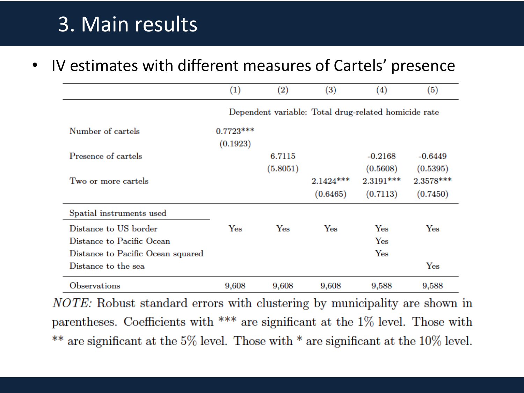### 3. Main results

IV estimates with different measures of Cartels' presence

|                                                                                                                | $\left(1\right)$                                     | (2)         | $\left(3\right)$        | $\left( 4\right)$                        | (5)                                |  |
|----------------------------------------------------------------------------------------------------------------|------------------------------------------------------|-------------|-------------------------|------------------------------------------|------------------------------------|--|
|                                                                                                                | Dependent variable: Total drug-related homicide rate |             |                         |                                          |                                    |  |
| Number of cartels                                                                                              | $0.7723***$<br>(0.1923)                              |             |                         |                                          |                                    |  |
| Presence of cartels                                                                                            |                                                      | 6.7115      |                         | $-0.2168$                                | $-0.6449$                          |  |
| Two or more cartels                                                                                            |                                                      | (5.8051)    | $2.1424***$<br>(0.6465) | (0.5608)<br>$2.3191***$<br>(0.7113)      | (0.5395)<br>2.3578 ***<br>(0.7450) |  |
| Spatial instruments used                                                                                       |                                                      |             |                         |                                          |                                    |  |
| Distance to US border<br>Distance to Pacific Ocean<br>Distance to Pacific Ocean squared<br>Distance to the sea | Yes                                                  | ${\rm Yes}$ | Yes                     | $_{\rm Yes}$<br>Yes<br>$\gamma_{\rm es}$ | Yes<br>$\gamma_{\rm es}$           |  |
| Observations                                                                                                   | 9,608                                                | 9,608       | 9,608                   | 9,588                                    | 9,588                              |  |

*NOTE:* Robust standard errors with clustering by municipality are shown in parentheses. Coefficients with \*\*\* are significant at the  $1\%$  level. Those with \*\* are significant at the 5% level. Those with  $*$  are significant at the 10% level.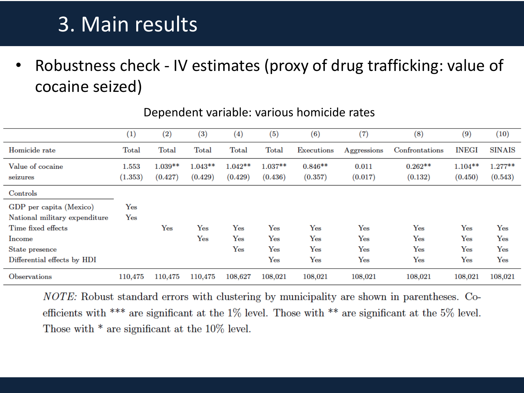### 3. Main results

• Robustness check - IV estimates (proxy of drug trafficking: value of cocaine seized)

|                               | (1)              | (2)                  | (3)                  | (4)                  | (5)                  | (6)                  | (7)               | (8)                  | (9)                  | (10)                 |
|-------------------------------|------------------|----------------------|----------------------|----------------------|----------------------|----------------------|-------------------|----------------------|----------------------|----------------------|
| Homicide rate                 | Total            | Total                | Total                | Total                | Total                | Executions           | Aggressions       | Confrontations       | <b>INEGI</b>         | <b>SINAIS</b>        |
| Value of cocaine<br>seizures  | 1.553<br>(1.353) | $1.039**$<br>(0.427) | $1.043**$<br>(0.429) | $1.042**$<br>(0.429) | $1.037**$<br>(0.436) | $0.846**$<br>(0.357) | 0.011<br>(0.017)  | $0.262**$<br>(0.132) | $1.104**$<br>(0.450) | $1.277**$<br>(0.543) |
| Controls                      |                  |                      |                      |                      |                      |                      |                   |                      |                      |                      |
| GDP per capita (Mexico)       | Yes              |                      |                      |                      |                      |                      |                   |                      |                      |                      |
| National military expenditure | Yes              |                      |                      |                      |                      |                      |                   |                      |                      |                      |
| Time fixed effects            |                  | Yes                  | $\gamma_{\rm es}$    | $_{\rm Yes}$         | ${\rm Yes}$          | $_{\rm Yes}$         | $_{\rm Yes}$      | $_{\rm Yes}$         | Yes                  | Yes                  |
| Income                        |                  |                      | Yes                  | $_{\rm Yes}$         | $\gamma_{\rm es}$    | $_{\rm Yes}$         | $\gamma_{\rm es}$ | Yes                  | Yes                  | Yes                  |
| State presence                |                  |                      |                      | $\gamma_{\rm es}$    | ${\rm Yes}$          | $_{\rm Yes}$         | Yes               | $\gamma_{\rm es}$    | Yes                  | Yes                  |
| Differential effects by HDI   |                  |                      |                      |                      | $\gamma_{\rm es}$    | $\gamma_{\rm es}$    | Yes               | Yes                  | Yes                  | Yes                  |
| Observations                  | 110,475          | 110,475              | 110,475              | 108,627              | 108,021              | 108,021              | 108,021           | 108,021              | 108,021              | 108,021              |

#### Dependent variable: various homicide rates

*NOTE:* Robust standard errors with clustering by municipality are shown in parentheses. Coefficients with \*\*\* are significant at the  $1\%$  level. Those with \*\* are significant at the 5% level. Those with  $*$  are significant at the 10% level.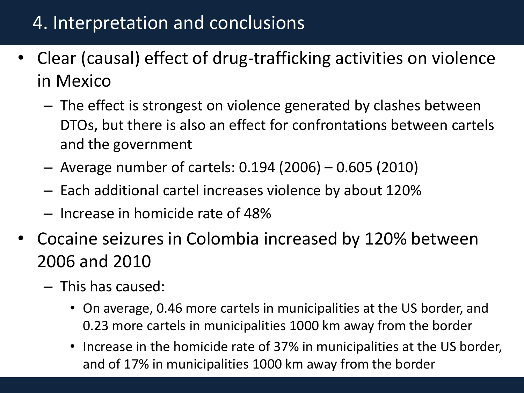### 4. Interpretation and conclusions

- Clear (causal) effect of drug-trafficking activities on violence in Mexico
	- The effect is strongest on violence generated by clashes between DTOs, but there is also an effect for confrontations between cartels and the government
	- Average number of cartels: 0.194 (2006) 0.605 (2010)
	- Each additional cartel increases violence by about 120%
	- Increase in homicide rate of 48%
- Cocaine seizures in Colombia increased by 120% between 2006 and 2010
	- This has caused:
		- On average, 0.46 more cartels in municipalities at the US border, and 0.23 more cartels in municipalities 1000 km away from the border
		- Increase in the homicide rate of 37% in municipalities at the US border, and of 17% in municipalities 1000 km away from the border